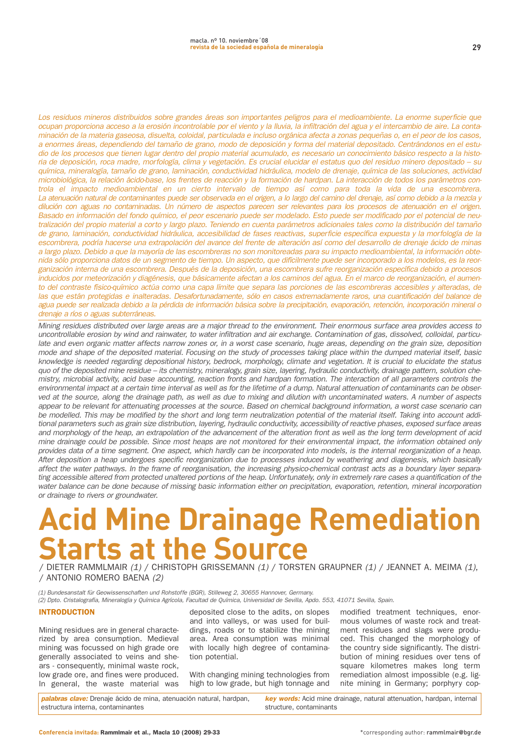**29**

Los residuos mineros distribuidos sobre grandes áreas son importantes peligros para el medioambiente. La enorme superficie que ocupan proporciona acceso a la erosión incontrolable por el viento y la lluvia, la infiltración del agua y el intercambio de aire. La contaminación de la materia gaseosa, disuelta, coloidal, particulada e incluso orgánica afecta a zonas pequeñas o, en el peor de los casos, a enormes áreas, dependiendo del tamaño de grano, modo de deposición y forma del material depositado. Centrándonos en el estudio de los procesos que tienen lugar dentro del propio material acumulado, es necesario un conocimiento básico respecto a la historia de deposición, roca madre, morfología, clima y vegetación. Es crucial elucidar el estatus quo del residuo minero depositado – su química, mineralogía, tamaño de grano, laminación, conductividad hidráulica, modelo de drenaje, química de las soluciones, actividad microbiológica, la relación ácido-base, los frentes de reacción y la formación de hardpan. La interacción de todos los parámetros controla el impacto medioambiental en un cierto intervalo de tiempo así como para toda la vida de una escombrera. La atenuación natural de contaminantes puede ser observada en el origen, a lo largo del camino del drenaje, así como debido a la mezcla y dilución con aguas no contaminadas. Un número de aspectos parecen ser relevantes para los procesos de atenuación en el origen. Basado en información del fondo químico, el peor escenario puede ser modelado. Esto puede ser modificado por el potencial de neutralización del propio material a corto y largo plazo. Teniendo en cuenta parámetros adicionales tales como la distribución del tamaño de grano, laminación, conductividad hidráulica, accesibilidad de fases reactivas, superficie específica expuesta y la morfología de la escombrera, podría hacerse una extrapolación del avance del frente de alteración así como del desarrollo de drenaje ácido de minas a largo plazo. Debido a que la mayoría de las escombreras no son monitoreadas para su impacto medioambiental, la información obtenida sólo proporciona datos de un segmento de tiempo. Un aspecto, que difícilmente puede ser incorporado a los modelos, es la reorganización interna de una escombrera. Después de la deposición, una escombrera sufre reorganización específica debido a procesos inducidos por meteorización y diagénesis, que básicamente afectan a los caminos del agua. En el marco de reorganización, el aumento del contraste físico-químico actúa como una capa límite que separa las porciones de las escombreras accesibles y alteradas, de las que están protegidas e inalteradas. Desafortunadamente, sólo en casos extremadamente raros, una cuantificación del balance de agua puede ser realizada debido a la pérdida de información básica sobre la precipitación, evaporación, retención, incorporación mineral o drenaje a ríos o aguas subterráneas.

Mining residues distributed over large areas are a major thread to the environment. Their enormous surface area provides access to uncontrollable erosion by wind and rainwater, to water infiltration and air exchange. Contamination of gas, dissolved, colloidal, particulate and even organic matter affects narrow zones or, in a worst case scenario, huge areas, depending on the grain size, deposition mode and shape of the deposited material. Focusing on the study of processes taking place within the dumped material itself, basic knowledge is needed regarding depositional history, bedrock, morphology, climate and vegetation. It is crucial to elucidate the status quo of the deposited mine residue – its chemistry, mineralogy, grain size, layering, hydraulic conductivity, drainage pattern, solution chemistry, microbial activity, acid base accounting, reaction fronts and hardpan formation. The interaction of all parameters controls the environmental impact at a certain time interval as well as for the lifetime of a dump. Natural attenuation of contaminants can be observed at the source, along the drainage path, as well as due to mixing and dilution with uncontaminated waters. A number of aspects appear to be relevant for attenuating processes at the source. Based on chemical background information, a worst case scenario can be modelled. This may be modified by the short and long term neutralization potential of the material itself. Taking into account additional parameters such as grain size distribution, layering, hydraulic conductivity, accessibility of reactive phases, exposed surface areas and morphology of the heap, an extrapolation of the advancement of the alteration front as well as the long term development of acid mine drainage could be possible. Since most heaps are not monitored for their environmental impact, the information obtained only provides data of a time segment. One aspect, which hardly can be incorporated into models, is the internal reorganization of a heap. After deposition a heap undergoes specific reorganization due to processes induced by weathering and diagenesis, which basically affect the water pathways. In the frame of reorganisation, the increasing physico-chemical contrast acts as a boundary layer separating accessible altered from protected unaltered portions of the heap. Unfortunately, only in extremely rare cases a quantification of the water balance can be done because of missing basic information either on precipitation, evaporation, retention, mineral incorporation or drainage to rivers or groundwater.

# **Acid Mine Drainage Remediation Starts at the Source**

**/ DIETER RAMMLMAIR** (1) **/ CHRISTOPH GRISSEMANN** (1) **/ TORSTEN GRAUPNER** (1) **/ JEANNET A. MEIMA** (1)**, / ANTONIO ROMERO BAENA** (2)

(1) Bundesanstalt für Geowissenschaften und Rohstoffe (BGR), Stilleweg 2, 30655 Hannover, Germany. (2) Dpto. Cristalografía, Mineralogía y Química Agrícola, Facultad de Química, Universidad de Sevilla, Apdo. 553, 41071 Sevilla, Spain.

## INTRODUCTION

**Mining residues are in general characterized by area consumption. Medieval mining was focussed on high grade ore generally associated to veins and shears - consequently, minimal waste rock, low grade ore, and fines were produced. In general, the waste material was**

**deposited close to the adits, on slopes and into valleys, or was used for buildings, roads or to stabilize the mining area. Area consumption was minimal with locally high degree of contamination potential.**

**With changing mining technologies from high to low grade, but high tonnage and** **modified treatment techniques, enormous volumes of waste rock and treatment residues and slags were produced. This changed the morphology of the country side significantly. The distribution of mining residues over tens of square kilometres makes long term remediation almost impossible (e.g. lignite mining in Germany; porphyry cop-**

**palabras clave: Drenaje ácido de mina, atenuación natural, hardpan, estructura interna, contaminantes** 

**key words: Acid mine drainage, natural attenuation, hardpan, internal structure, contaminants**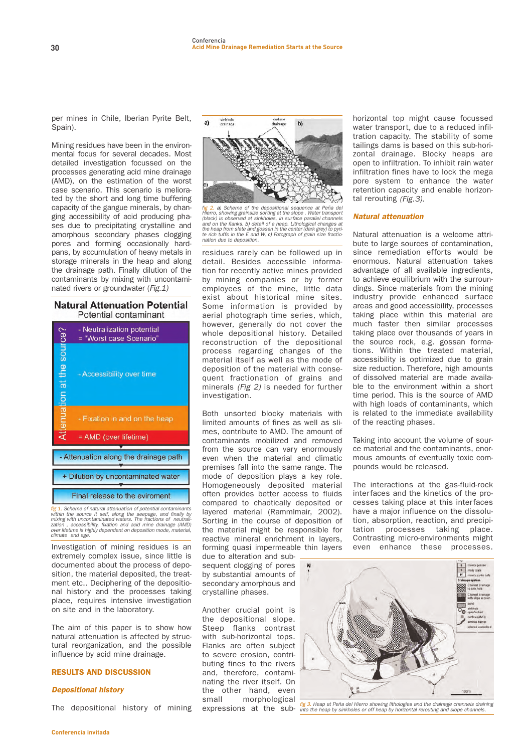**per mines in Chile, Iberian Pyrite Belt, Spain).**

**Mining residues have been in the environmental focus for several decades. Most detailed investigation focussed on the processes generating acid mine drainage (AMD), on the estimation of the worst case scenario. This scenario is meliorated by the short and long time buffering capacity of the gangue minerals, by changing accessibility of acid producing phases due to precipitating crystalline and amorphous secondary phases clogging pores and forming occasionally hardpans, by accumulation of heavy metals in storage minerals in the heap and along the drainage path. Finally dilution of the contaminants by mixing with uncontaminated rivers or groundwater (**Fig.1)

# **Natural Attenuation Potential** Potential contaminant



f<mark>ig 1</mark>. Scheme of natural attenuation of potential contaminants<br>within the source it self, along the seepage, and finally by<br>mixing with uncontaminated waters. The fractions of neutrali-<br>zation , accessibility, fixation a over lifetime is highly dependent on deposition mode, material, climate and age.

**Investigation of mining residues is an extremely complex issue, since little is documented about the process of deposition, the material deposited, the treatment etc.. Deciphering of the depositional history and the processes taking place, requires intensive investigation on site and in the laboratory.**

**The aim of this paper is to show how natural attenuation is affected by structural reorganization, and the possible influence by acid mine drainage.** 

# RESULTS AND DISCUSSION

#### **Depositional history**

**The depositional history of mining**



fig 2. a) Scheme of the depositional sequence at Peña de<br>Hierro, showing grainsize sorting at the slope . Water transport<br>(black) is observed at sinkholes, in surface parallel channels and on the flanks. b) detail of a heap. Lithological changes at the heap from slate and gossan in the center (dark grey) to pyri-<br>te rich tuffs in the E and W, c) Fotograph of grain size fractio nation due to deposition.

**residues rarely can be followed up in detail. Besides accessible information for recently active mines provided by mining companies or by former employees of the mine, little data exist about historical mine sites. Some information is provided by aerial photograph time series, which, however, generally do not cover the whole depositional history. Detailed reconstruction of the depositional process regarding changes of the material itself as well as the mode of deposition of the material with consequent fractionation of grains and minerals** (Fig 2) **is needed for further investigation.**

**Both unsorted blocky materials with limited amounts of fines as well as slimes, contribute to AMD. The amount of contaminants mobilized and removed from the source can vary enormously even when the material and climatic premises fall into the same range. The mode of deposition plays a key role. Homogeneously deposited material often provides better access to fluids compared to chaotically deposited or layered material (Rammlmair, 2002). Sorting in the course of deposition of the material might be responsible for reactive mineral enrichment in layers, forming quasi impermeable thin layers**

**due to alteration and subsequent clogging of pores by substantial amounts of secondary amorphous and crystalline phases.**

**Another crucial point is the depositional slope. Steep flanks contrast with sub-horizontal tops. Flanks are often subject to severe erosion, contributing fines to the rivers and, therefore, contaminating the river itself. On the other hand, even small morphological expressions at the sub-** **horizontal top might cause focussed water transport, due to a reduced infiltration capacity. The stability of some tailings dams is based on this sub-horizontal drainage. Blocky heaps are open to infiltration. To inhibit rain water infiltration fines have to lock the mega pore system to enhance the water retention capacity and enable horizontal rerouting** (Fig.3)**.**

#### **Natural attenuation**

**Natural attenuation is a welcome attribute to large sources of contamination, since remediation efforts would be enormous. Natural attenuation takes advantage of all available ingredients, to achieve equilibrium with the surroundings. Since materials from the mining industry provide enhanced surface areas and good accessibility, processes taking place within this material are much faster then similar processes taking place over thousands of years in the source rock, e.g. gossan formations. Within the treated material, accessibility is optimized due to grain size reduction. Therefore, high amounts of dissolved material are made available to the environment within a short time period. This is the source of AMD with high loads of contaminants, which is related to the immediate availability of the reacting phases.**

**Taking into account the volume of source material and the contaminants, enormous amounts of eventually toxic compounds would be released.**

**The interactions at the gas-fluid-rock interfaces and the kinetics of the processes taking place at this interfaces have a major influence on the dissolution, absorption, reaction, and precipitation processes taking place. Contrasting micro-environments might even enhance these processes.**



fig 3. Heap at Peña del Hierro showing lithologies and the drainage channels draining<br>into the heap by sinkholes or off heap by horizontal rerouting and slope channels.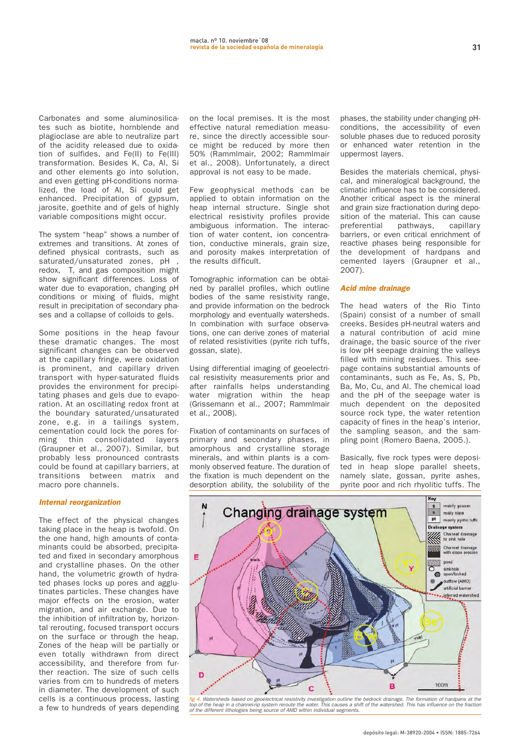**Carbonates and some aluminosilicates such as biotite, hornblende and plagioclase are able to neutralize part of the acidity released due to oxidation of sulfides, and Fe(II) to Fe(III) transformation. Besides K, Ca, Al, Si and other elements go into solution, and even getting pH-conditions normalized, the load of Al, Si could get enhanced. Precipitation of gypsum, jarosite, goethite and of gels of highly variable compositions might occur.**

**The system "heap" shows a number of extremes and transitions. At zones of defined physical contrasts, such as saturated/unsaturated zones, pH , redox, T, and gas composition might show significant differences. Loss of water due to evaporation, changing pH conditions or mixing of fluids, might result in precipitation of secondary phases and a collapse of colloids to gels.**

**Some positions in the heap favour these dramatic changes. The most significant changes can be observed at the capillary fringe, were oxidation is prominent, and capillary driven transport with hyper-saturated fluids provides the environment for precipitating phases and gels due to evaporation. At an oscillating redox front at the boundary saturated/unsaturated zone, e.g. in a tailings system, cementation could lock the pores forming thin consolidated layers (Graupner et al., 2007). Similar, but probably less pronounced contrasts could be found at capillary barriers, at transitions between matrix and macro pore channels.**

#### **Internal reorganization**

**The effect of the physical changes taking place in the heap is twofold. On the one hand, high amounts of contaminants could be absorbed, precipitated and fixed in secondary amorphous and crystalline phases. On the other hand, the volumetric growth of hydrated phases locks up pores and agglutinates particles. These changes have major effects on the erosion, water migration, and air exchange. Due to the inhibition of infiltration by, horizontal rerouting, focused transport occurs on the surface or through the heap. Zones of the heap will be partially or even totally withdrawn from direct accessibility, and therefore from further reaction. The size of such cells varies from cm to hundreds of meters in diameter. The development of such cells is a continuous process, lasting a few to hundreds of years depending**

**on the local premises. It is the most effective natural remediation measure, since the directly accessible source might be reduced by more then 50% (Rammlmair, 2002; Rammlmair et al., 2008). Unfortunately, a direct approval is not easy to be made.**

**Few geophysical methods can be applied to obtain information on the heap internal structure. Single shot electrical resistivity profiles provide ambiguous information. The interaction of water content, ion concentration, conductive minerals, grain size, and porosity makes interpretation of the results difficult.**

**Tomographic information can be obtained by parallel profiles, which outline bodies of the same resistivity range, and provide information on the bedrock morphology and eventually watersheds. In combination with surface observations, one can derive zones of material of related resistivities (pyrite rich tuffs, gossan, slate).**

**Using differential imaging of geoelectrical resistivity measurements prior and after rainfalls helps understanding water migration within the heap (Grissemann et al., 2007; Rammlmair et al., 2008).**

**Fixation of contaminants on surfaces of primary and secondary phases, in amorphous and crystalline storage minerals, and within plants is a commonly observed feature. The duration of the fixation is much dependent on the desorption ability, the solubility of the**

**phases, the stability under changing pHconditions, the accessibility of even soluble phases due to reduced porosity or enhanced water retention in the uppermost layers.**

**Besides the materials chemical, physical, and mineralogical background, the climatic influence has to be considered. Another critical aspect is the mineral and grain size fractionation during deposition of the material. This can cause preferential pathways, capillary barriers, or even critical enrichment of reactive phases being responsible for the development of hardpans and cemented layers (Graupner et al., 2007).** 

# **Acid mine drainage**

**The head waters of the Rio Tinto (Spain) consist of a number of small creeks. Besides pH-neutral waters and a natural contribution of acid mine drainage, the basic source of the river is low pH seepage draining the valleys filled with mining residues. This seepage contains substantial amounts of contaminants, such as Fe, As, S, Pb, Ba, Mo, Cu, and Al. The chemical load and the pH of the seepage water is much dependent on the deposited source rock type, the water retention capacity of fines in the heap's interior, the sampling season, and the sampling point (Romero Baena, 2005.).**

**Basically, five rock types were deposited in heap slope parallel sheets, namely slate, gossan, pyrite ashes, pyrite poor and rich rhyolitic tuffs. The**



f<mark>ig 4</mark>. Watersheds based on geoelectrical resistivity investigation outline the bedrock drainage. The formation of hardpans at the<br>top of the heap in a channel-rip system reroute the water. This causes a shift of the wate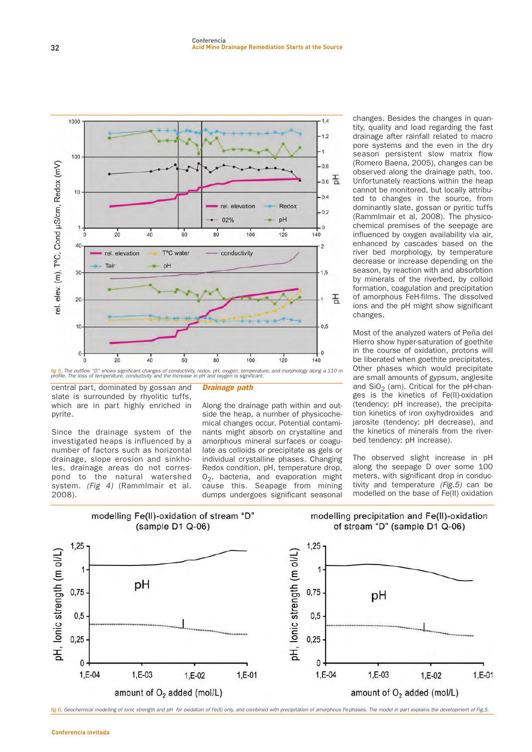

**central part, dominated by gossan and slate is surrounded by rhyolitic tuffs, which are in part highly enriched in pyrite.**

**Since the drainage system of the investigated heaps is influenced by a number of factors such as horizontal drainage, slope erosion and sinkholes, drainage areas do not correspond to the natural watershed system.** (Fig 4) **(Rammlmair et al. 2008).**

# **Drainage path**

**Along the drainage path within and outside the heap, a number of physicochemical changes occur. Potential contaminants might absorb on crystalline and amorphous mineral surfaces or coagulate as colloids or precipitate as gels or individual crystalline phases. Changing Redox condition, pH, temperature drop, O2, bacteria, and evaporation might cause this. Seapage from mining dumps undergoes significant seasonal**

**changes. Besides the changes in quantity, quality and load regarding the fast drainage after rainfall related to macro pore systems and the even in the dry season persistent slow matrix flow (Romero Baena, 2005), changes can be observed along the drainage path, too. Unfortunately reactions within the heap cannot be monitored, but locally attributed to changes in the source, from dominantly slate, gossan or pyritic tuffs (Rammlmair et al, 2008). The physicochemical premises of the seepage are influenced by oxygen availability via air, enhanced by cascades based on the river bed morphology, by temperature decrease or increase depending on the season, by reaction with and absorbtion by minerals of the riverbed, by colloid formation, coagulation and precipitation of amorphous FeH-films. The dissolved ions and the pH might show significant changes.**

**Most of the analyzed waters of Peña del Hierro show hyper-saturation of goethite in the course of oxidation, protons will be liberated when goethite precipitates. Other phases which would precipitate are small amounts of gypsum, anglesite** and SiO<sub>2</sub> (am). Critical for the pH-chan**ges is the kinetics of Fe(II)-oxidation (tendency: pH increase), the precipitation kinetics of iron oxyhydroxides and jarosite (tendency: pH decrease), and the kinetics of minerals from the riverbed tendency: pH increase).**

**The observed slight increase in pH along the seepage D over some 100 meters, with significant drop in conductivity and temperature** (Fig.5) **can be modelled on the base of Fe(II) oxidation**



fig 6. Geochemical modelling of ionic strength and pH for oxidation of Fe(II) only, and combined with precipitation of amorphous Fe-phases. The model in part explains the development of Fig.5.